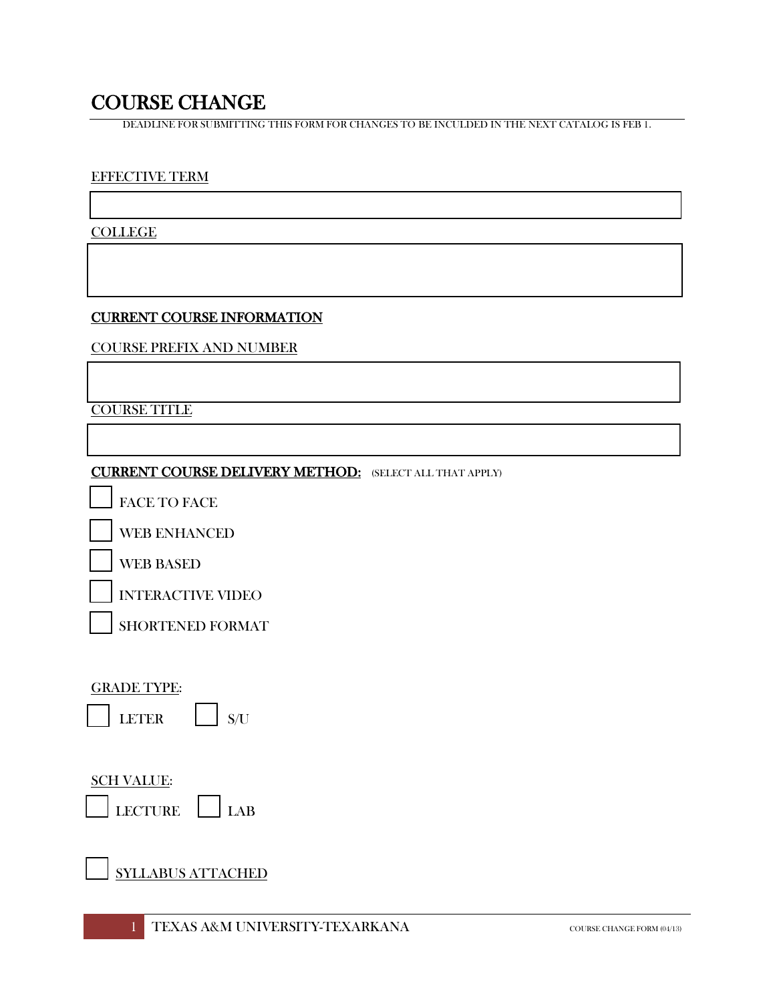COURSE CHANGE<br>DEADLINE FOR SUBMITTING THIS FORM FOR CHANGES TO BE INCULDED IN THE NEXT CATALOG IS FEB 1.

#### EFFECTIVE TERM

**COLLEGE** 

#### CURRENT COURSE INFORMATION

COURSE PREFIX AND NUMBER

COURSE TITLE

### CURRENT COURSE DELIVERY METHOD: (SELECT ALL THAT APPLY)

FACE TO FACE

WEB ENHANCED

WEB BASED

INTERACTIVE VIDEO

SHORTENED FORMAT

#### GRADE TYPE:

LETER  $\vert$   $\vert$   $\mathrm{s/u}$ 

## SCH VALUE:

CTURE LAB

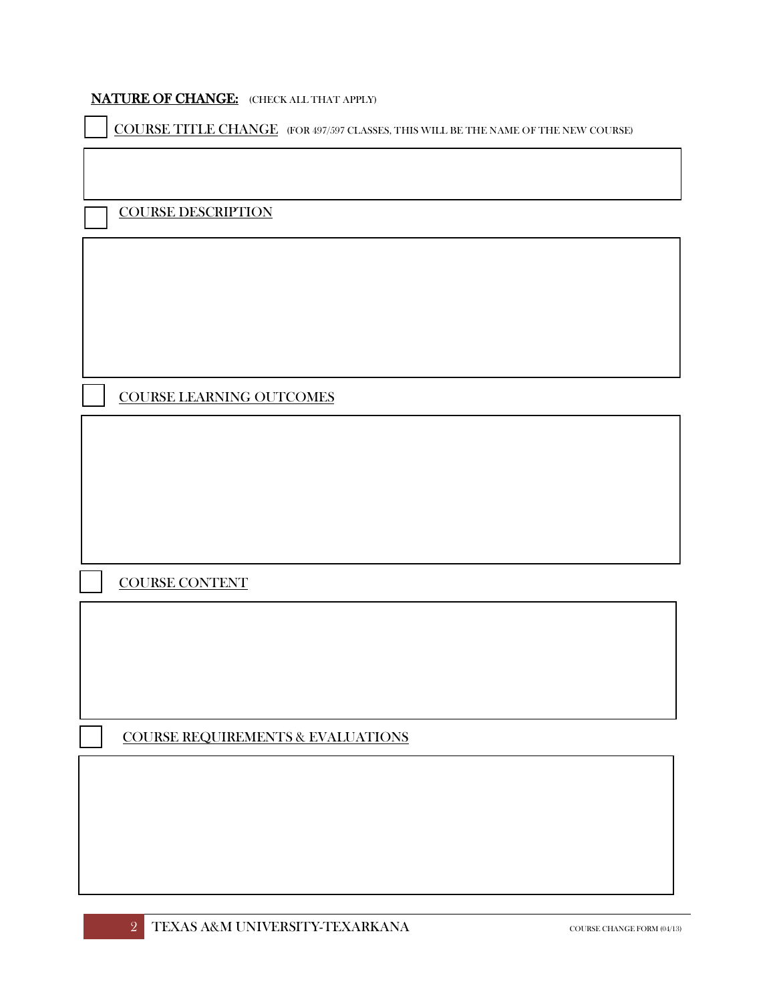#### NATURE OF CHANGE: (CHECK ALL THAT APPLY)

COURSE TITLE CHANGE (FOR 497/597 CLASSES, THIS WILL BE THE NAME OF THE NEW COURSE)

COURSE DESCRIPTION

COURSE LEARNING OUTCOMES

COURSE CONTENT

COURSE REQUIREMENTS & EVALUATIONS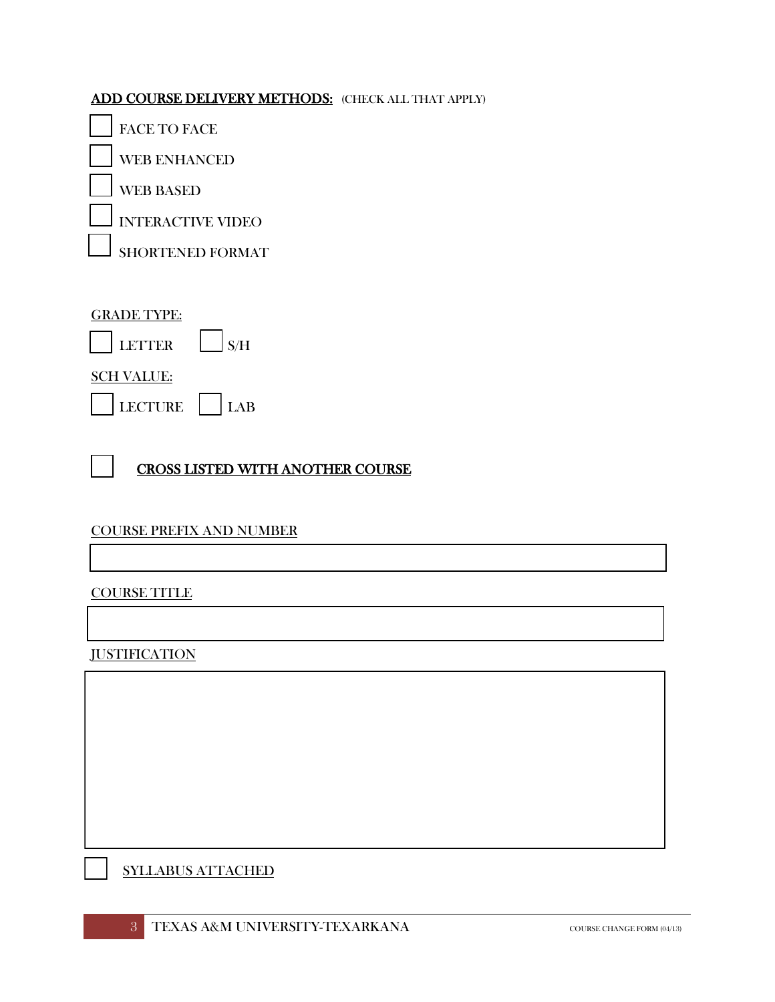## ADD COURSE DELIVERY METHODS: (CHECK ALL THAT APPLY)

FACE TO FACE

WEB ENHANCED

WEB BASED

INTERACTIVE VIDEO

SHORTENED FORMAT

## GRADE TYPE:



SCH VALUE:

| LECTURE | АR |
|---------|----|
|---------|----|

# CROSS LISTED WITH ANOTHER COURSE

# COURSE PREFIX AND NUMBER

#### COURSE TITLE

**JUSTIFICATION** 

SYLLABUS ATTACHED